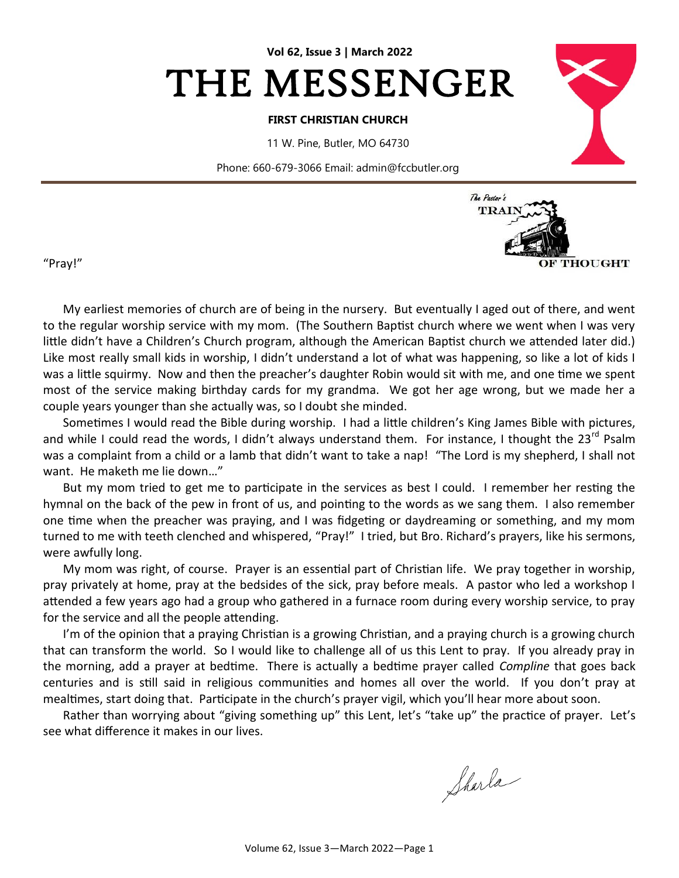

#### **FIRST CHRISTIAN CHURCH**

11 W. Pine, Butler, MO 64730

Phone: 660-679-3066 Email: admin@fccbutler.org



"Pray!"

My earliest memories of church are of being in the nursery. But eventually I aged out of there, and went to the regular worship service with my mom. (The Southern Baptist church where we went when I was very little didn't have a Children's Church program, although the American Baptist church we attended later did.) Like most really small kids in worship, I didn't understand a lot of what was happening, so like a lot of kids I was a little squirmy. Now and then the preacher's daughter Robin would sit with me, and one time we spent most of the service making birthday cards for my grandma. We got her age wrong, but we made her a couple years younger than she actually was, so I doubt she minded.

Sometimes I would read the Bible during worship. I had a little children's King James Bible with pictures, and while I could read the words, I didn't always understand them. For instance, I thought the 23<sup>rd</sup> Psalm was a complaint from a child or a lamb that didn't want to take a nap! "The Lord is my shepherd, I shall not want. He maketh me lie down…"

But my mom tried to get me to participate in the services as best I could. I remember her resting the hymnal on the back of the pew in front of us, and pointing to the words as we sang them. I also remember one time when the preacher was praying, and I was fidgeting or daydreaming or something, and my mom turned to me with teeth clenched and whispered, "Pray!" I tried, but Bro. Richard's prayers, like his sermons, were awfully long.

My mom was right, of course. Prayer is an essential part of Christian life. We pray together in worship, pray privately at home, pray at the bedsides of the sick, pray before meals. A pastor who led a workshop I attended a few years ago had a group who gathered in a furnace room during every worship service, to pray for the service and all the people attending.

I'm of the opinion that a praying Christian is a growing Christian, and a praying church is a growing church that can transform the world. So I would like to challenge all of us this Lent to pray. If you already pray in the morning, add a prayer at bedtime. There is actually a bedtime prayer called *Compline* that goes back centuries and is still said in religious communities and homes all over the world. If you don't pray at mealtimes, start doing that. Participate in the church's prayer vigil, which you'll hear more about soon.

Rather than worrying about "giving something up" this Lent, let's "take up" the practice of prayer. Let's see what difference it makes in our lives.

Sharla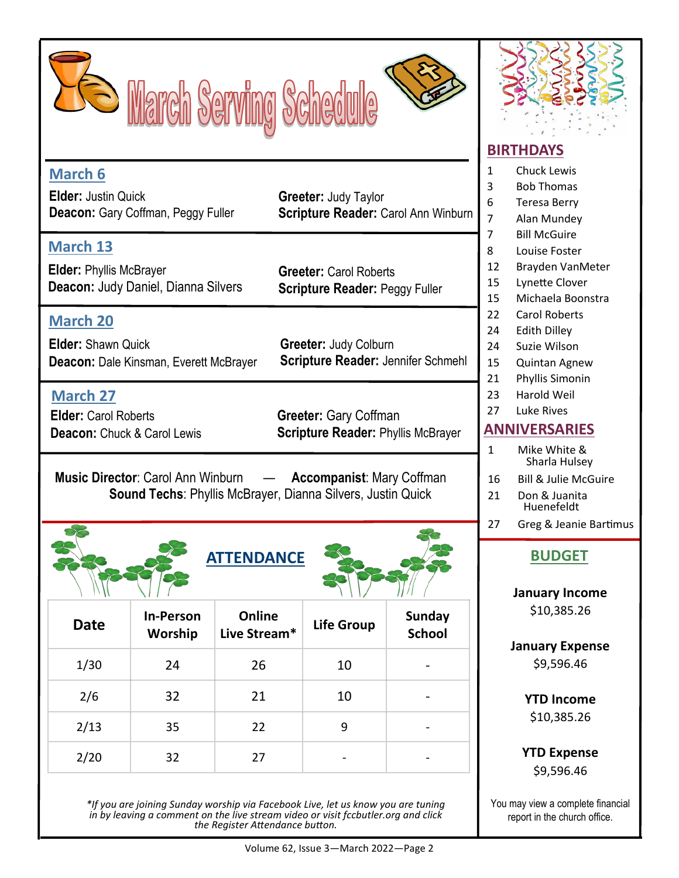



|                                                                                                                                     |                                    |                                                 |                                                                           |                                |    | PINTI PATU                                                                                                           |  |  |
|-------------------------------------------------------------------------------------------------------------------------------------|------------------------------------|-------------------------------------------------|---------------------------------------------------------------------------|--------------------------------|----|----------------------------------------------------------------------------------------------------------------------|--|--|
| <b>March 6</b><br><b>Elder: Justin Quick</b><br>Deacon: Gary Coffman, Peggy Fuller                                                  |                                    |                                                 | <b>Greeter: Judy Taylor</b><br><b>Scripture Reader: Carol Ann Winburn</b> |                                |    | <b>Chuck Lewis</b><br><b>Bob Thomas</b><br><b>Teresa Berry</b><br>Alan Munde                                         |  |  |
| <b>March 13</b><br><b>Elder: Phyllis McBrayer</b><br><b>Deacon: Judy Daniel, Dianna Silvers</b>                                     |                                    |                                                 | <b>Greeter: Carol Roberts</b><br><b>Scripture Reader: Peggy Fuller</b>    |                                |    | 7<br><b>Bill McGuire</b><br>8<br>Louise Foste<br>Brayden Van<br>12<br><b>Lynette Clov</b><br>15<br>15<br>Michaela Bo |  |  |
| <b>March 20</b><br><b>Elder: Shawn Quick</b><br><b>Deacon: Dale Kinsman, Everett McBrayer</b>                                       |                                    |                                                 | <b>Greeter: Judy Colburn</b><br><b>Scripture Reader: Jennifer Schmehl</b> |                                |    | <b>Carol Robert</b><br>Edith Dilley<br>Suzie Wilson<br>Quintan Agn<br>Phyllis Simor                                  |  |  |
| <b>March 27</b><br><b>Elder: Carol Roberts</b><br><b>Deacon: Chuck &amp; Carol Lewis</b>                                            | 21<br>23<br>27<br>$\mathbf{1}$     | Harold Weil<br>Luke Rives<br><b>ANNIVERSARI</b> |                                                                           |                                |    |                                                                                                                      |  |  |
| Music Director: Carol Ann Winburn - Accompanist: Mary Coffman<br><b>Sound Techs: Phyllis McBrayer, Dianna Silvers, Justin Quick</b> |                                    |                                                 |                                                                           |                                |    | Mike White<br>Sharla Hul:<br>Bill & Julie N<br>Don & Juani<br>Huenefeldt                                             |  |  |
|                                                                                                                                     |                                    | <b>ATTENDANCE</b>                               |                                                                           |                                | 27 | Greg & Jean<br><b>BUDGE</b><br><b>January Ind</b>                                                                    |  |  |
| <b>Date</b>                                                                                                                         | <b>In-Person</b><br><b>Worship</b> | Online<br>Live Stream*                          | <b>Life Group</b>                                                         | <b>Sunday</b><br><b>School</b> |    | \$10,385.<br><b>January Exp</b>                                                                                      |  |  |
| 1/30                                                                                                                                | 24                                 | 26                                              | 10                                                                        |                                |    | \$9,596.4                                                                                                            |  |  |
| 2/6                                                                                                                                 | 32                                 | 21                                              | 10                                                                        | -                              |    | <b>YTD Inco</b>                                                                                                      |  |  |
| 2/13                                                                                                                                | 35                                 | 22                                              | 9                                                                         |                                |    | \$10,385.                                                                                                            |  |  |
| 2/20                                                                                                                                | 32                                 | 27                                              |                                                                           |                                |    | <b>YTD Expe</b>                                                                                                      |  |  |

*\*If you are joining Sunday worship via Facebook Live, let us know you are tuning in by leaving a comment on the live stream video or visit fccbutler.org and click the Register Attendance button.* 

## **BIRTHDAYS**

**IVERSARIES** Mike White & Sharla Hulsey 16 Bill & Julie McGuire Don & Juanita Huenefeldt **Bob Thomas Teresa Berry Alan Mundey Bill McGuire** Louise Foster 12 Brayden VanMeter Lynette Clover 15 Michaela Boonstra Carol Roberts **Edith Dilley** Suzie Wilson Quintan Agnew Phyllis Simonin **Harold Weil Luke Rives** 

Greg & Jeanie Bartimus

# **ATTENDANCE BUDGET**

**January Income** \$10,385.26

**January Expense** \$9,596.46

> **YTD Income** \$10,385.26

**YTD Expense** \$9,596.46

You may view a complete financial report in the church office.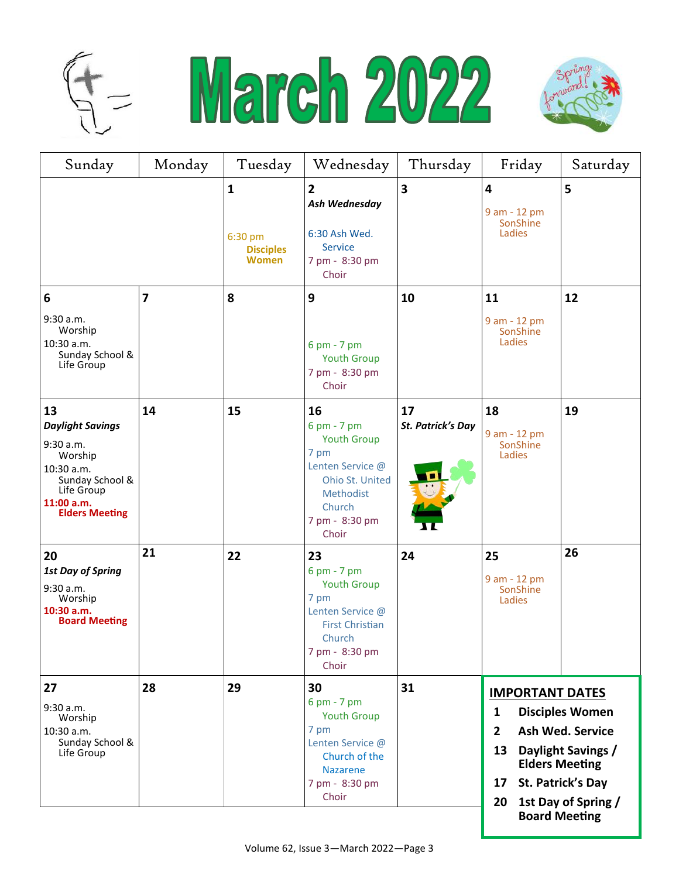





| Sunday                                                                                                                                      | Monday                  | Tuesday                                                     | Wednesday                                                                                                                                | Thursday                                  | Friday                                                                                                                                                                                                                                  | Saturday |
|---------------------------------------------------------------------------------------------------------------------------------------------|-------------------------|-------------------------------------------------------------|------------------------------------------------------------------------------------------------------------------------------------------|-------------------------------------------|-----------------------------------------------------------------------------------------------------------------------------------------------------------------------------------------------------------------------------------------|----------|
|                                                                                                                                             |                         | $\mathbf{1}$<br>6:30 pm<br><b>Disciples</b><br><b>Women</b> | $\overline{2}$<br>Ash Wednesday<br>6:30 Ash Wed.<br><b>Service</b><br>7 pm - 8:30 pm<br>Choir                                            | 3                                         | $\overline{\mathbf{4}}$<br>9 am - 12 pm<br>SonShine<br>Ladies                                                                                                                                                                           | 5        |
| 6                                                                                                                                           | $\overline{\mathbf{z}}$ | 8                                                           | 9                                                                                                                                        | 10                                        | 11                                                                                                                                                                                                                                      | 12       |
| 9:30 a.m.<br>Worship<br>10:30 a.m.<br>Sunday School &<br>Life Group                                                                         |                         |                                                             | 6 pm - 7 pm<br><b>Youth Group</b><br>7 pm - 8:30 pm<br>Choir                                                                             |                                           | 9 am - 12 pm<br>SonShine<br>Ladies                                                                                                                                                                                                      |          |
| 13<br><b>Daylight Savings</b><br>9:30 a.m.<br>Worship<br>10:30 a.m.<br>Sunday School &<br>Life Group<br>11:00 a.m.<br><b>Elders Meeting</b> | 14                      | 15                                                          | 16<br>6 pm - 7 pm<br><b>Youth Group</b><br>7 pm<br>Lenten Service @<br>Ohio St. United<br>Methodist<br>Church<br>7 pm - 8:30 pm<br>Choir | 17<br>St. Patrick's Day<br>$\blacksquare$ | 18<br>9 am - 12 pm<br>SonShine<br>Ladies                                                                                                                                                                                                | 19       |
| 20<br><b>1st Day of Spring</b><br>9:30 a.m.<br>Worship<br>10:30 a.m.<br><b>Board Meeting</b>                                                | 21                      | 22                                                          | 23<br>6 pm - 7 pm<br><b>Youth Group</b><br>7 pm<br>Lenten Service @<br><b>First Christian</b><br>Church<br>7 pm - 8:30 pm<br>Choir       | 24                                        | 25<br>9 am - 12 pm<br>SonShine<br>Ladies                                                                                                                                                                                                | 26       |
| 27<br>9:30 a.m.<br>Worship<br>10:30 a.m.<br>Sunday School &<br>Life Group                                                                   | 28                      | 29                                                          | 30<br>6 pm - 7 pm<br><b>Youth Group</b><br>7 pm<br>Lenten Service @<br>Church of the<br><b>Nazarene</b><br>7 pm - 8:30 pm<br>Choir       | 31                                        | <b>IMPORTANT DATES</b><br><b>Disciples Women</b><br>1<br><b>Ash Wed. Service</b><br>$\overline{2}$<br>Daylight Savings /<br>13<br><b>Elders Meeting</b><br>St. Patrick's Day<br>17<br>1st Day of Spring /<br>20<br><b>Board Meeting</b> |          |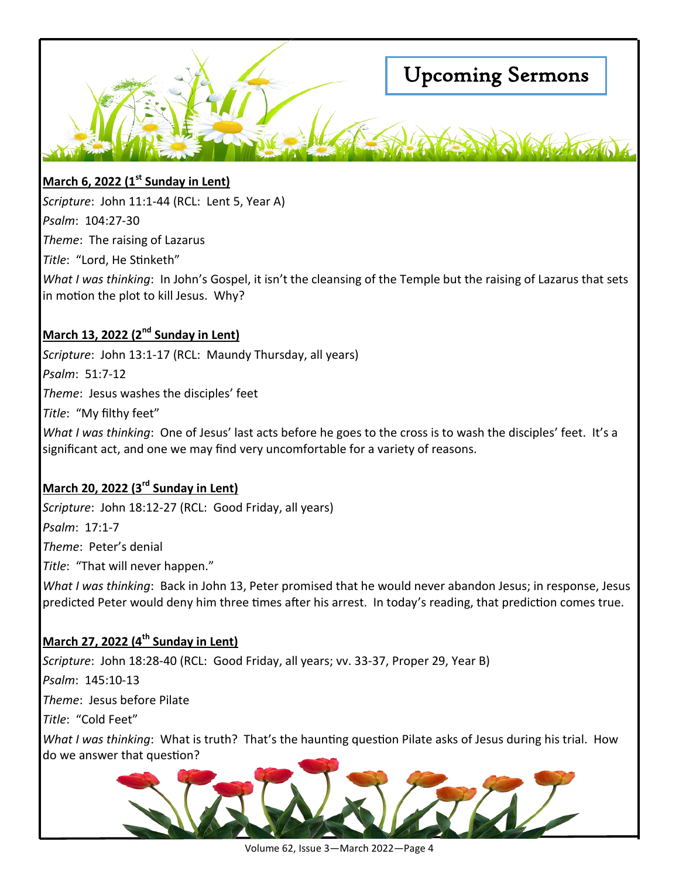

## **March 6, 2022 (1st Sunday in Lent)**

*Scripture*: John 11:1-44 (RCL: Lent 5, Year A) *Psalm*: 104:27-30 *Theme*: The raising of Lazarus *Title*: "Lord, He Stinketh"

*What I was thinking*: In John's Gospel, it isn't the cleansing of the Temple but the raising of Lazarus that sets in motion the plot to kill Jesus. Why?

## **March 13, 2022 (2nd Sunday in Lent)**

*Scripture*: John 13:1-17 (RCL: Maundy Thursday, all years) *Psalm*: 51:7-12 *Theme*: Jesus washes the disciples' feet *Title*: "My filthy feet"

*What I was thinking*: One of Jesus' last acts before he goes to the cross is to wash the disciples' feet. It's a significant act, and one we may find very uncomfortable for a variety of reasons.

## **March 20, 2022 (3rd Sunday in Lent)**

*Scripture*: John 18:12-27 (RCL: Good Friday, all years) *Psalm*: 17:1-7 *Theme*: Peter's denial *Title*: "That will never happen." *What I was thinking*: Back in John 13, Peter promised that he would never abandon Jesus; in response, Jesus predicted Peter would deny him three times after his arrest. In today's reading, that prediction comes true.

## **March 27, 2022 (4th Sunday in Lent)**

*Scripture*: John 18:28-40 (RCL: Good Friday, all years; vv. 33-37, Proper 29, Year B) *Psalm*: 145:10-13 *Theme*: Jesus before Pilate *Title*: "Cold Feet" *What I was thinking*: What is truth? That's the haunting question Pilate asks of Jesus during his trial. How do we answer that question?



Volume 62, Issue 3—March 2022—Page 4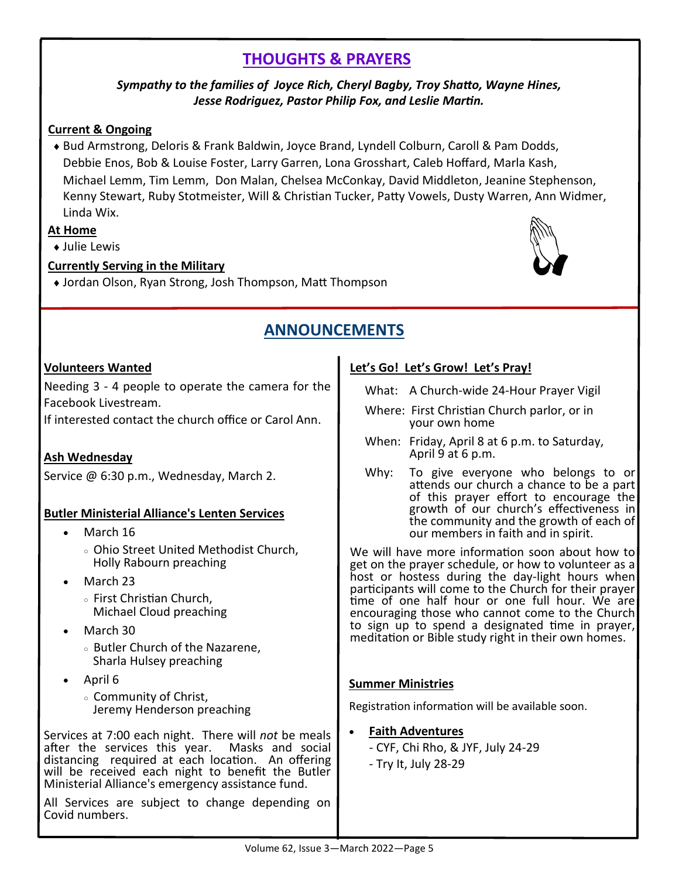# **THOUGHTS & PRAYERS**

#### *Sympathy to the families of Joyce Rich, Cheryl Bagby, Troy Shatto, Wayne Hines, Jesse Rodriguez, Pastor Philip Fox, and Leslie Martin.*

#### **Current & Ongoing**

 Bud Armstrong, Deloris & Frank Baldwin, Joyce Brand, Lyndell Colburn, Caroll & Pam Dodds, Debbie Enos, Bob & Louise Foster, Larry Garren, Lona Grosshart, Caleb Hoffard, Marla Kash, Michael Lemm, Tim Lemm, Don Malan, Chelsea McConkay, David Middleton, Jeanine Stephenson, Kenny Stewart, Ruby Stotmeister, Will & Christian Tucker, Patty Vowels, Dusty Warren, Ann Widmer, Linda Wix.

#### **At Home**

**+ Julie Lewis** 

#### **Currently Serving in the Military**

Jordan Olson, Ryan Strong, Josh Thompson, Matt Thompson



# **ANNOUNCEMENTS**

#### **Volunteers Wanted**

Needing 3 - 4 people to operate the camera for the Facebook Livestream.

If interested contact the church office or Carol Ann.

## **Ash Wednesday**

Service @ 6:30 p.m., Wednesday, March 2.

#### **Butler Ministerial Alliance's Lenten Services**

- March 16
	- Ohio Street United Methodist Church, Holly Rabourn preaching
- March 23
	- First Christian Church, Michael Cloud preaching
- March 30
	- Butler Church of the Nazarene, Sharla Hulsey preaching
- April 6
	- Community of Christ, Jeremy Henderson preaching

Services at 7:00 each night. There will *not* be meals after the services this year. Masks and social distancing required at each location. An offering will be received each night to benefit the Butler Ministerial Alliance's emergency assistance fund.

All Services are subject to change depending on Covid numbers.

#### **Let's Go! Let's Grow! Let's Pray!**

- What: A Church-wide 24-Hour Prayer Vigil
- Where: First Christian Church parlor, or in your own home
- When: Friday, April 8 at 6 p.m. to Saturday, April 9 at 6 p.m.
- Why: To give everyone who belongs to or attends our church a chance to be a part of this prayer effort to encourage the growth of our church's effectiveness in the community and the growth of each of our members in faith and in spirit.

We will have more information soon about how to get on the prayer schedule, or how to volunteer as a host or hostess during the day-light hours when participants will come to the Church for their prayer time of one half hour or one full hour. We are encouraging those who cannot come to the Church to sign up to spend a designated time in prayer, meditation or Bible study right in their own homes.

#### **Summer Ministries**

Registration information will be available soon.

- **Faith Adventures**
	- CYF, Chi Rho, & JYF, July 24-29
	- Try It, July 28-29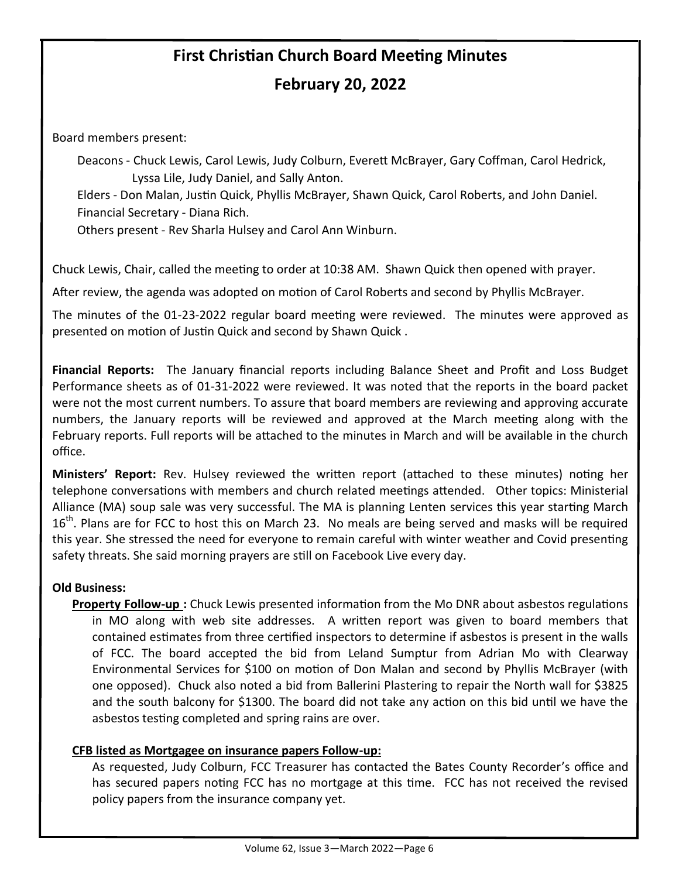# **First Christian Church Board Meeting Minutes February 20, 2022**

Board members present:

Deacons - Chuck Lewis, Carol Lewis, Judy Colburn, Everett McBrayer, Gary Coffman, Carol Hedrick, Lyssa Lile, Judy Daniel, and Sally Anton.

Elders - Don Malan, Justin Quick, Phyllis McBrayer, Shawn Quick, Carol Roberts, and John Daniel. Financial Secretary - Diana Rich.

Others present - Rev Sharla Hulsey and Carol Ann Winburn.

Chuck Lewis, Chair, called the meeting to order at 10:38 AM. Shawn Quick then opened with prayer.

After review, the agenda was adopted on motion of Carol Roberts and second by Phyllis McBrayer.

The minutes of the 01-23-2022 regular board meeting were reviewed. The minutes were approved as presented on motion of Justin Quick and second by Shawn Quick .

**Financial Reports:** The January financial reports including Balance Sheet and Profit and Loss Budget Performance sheets as of 01-31-2022 were reviewed. It was noted that the reports in the board packet were not the most current numbers. To assure that board members are reviewing and approving accurate numbers, the January reports will be reviewed and approved at the March meeting along with the February reports. Full reports will be attached to the minutes in March and will be available in the church office.

**Ministers' Report:** Rev. Hulsey reviewed the written report (attached to these minutes) noting her telephone conversations with members and church related meetings attended. Other topics: Ministerial Alliance (MA) soup sale was very successful. The MA is planning Lenten services this year starting March 16<sup>th</sup>. Plans are for FCC to host this on March 23. No meals are being served and masks will be required this year. She stressed the need for everyone to remain careful with winter weather and Covid presenting safety threats. She said morning prayers are still on Facebook Live every day.

#### **Old Business:**

**Property Follow-up :** Chuck Lewis presented information from the Mo DNR about asbestos regulations in MO along with web site addresses. A written report was given to board members that contained estimates from three certified inspectors to determine if asbestos is present in the walls of FCC. The board accepted the bid from Leland Sumptur from Adrian Mo with Clearway Environmental Services for \$100 on motion of Don Malan and second by Phyllis McBrayer (with one opposed). Chuck also noted a bid from Ballerini Plastering to repair the North wall for \$3825 and the south balcony for \$1300. The board did not take any action on this bid until we have the asbestos testing completed and spring rains are over.

#### **CFB listed as Mortgagee on insurance papers Follow-up:**

As requested, Judy Colburn, FCC Treasurer has contacted the Bates County Recorder's office and has secured papers noting FCC has no mortgage at this time. FCC has not received the revised policy papers from the insurance company yet.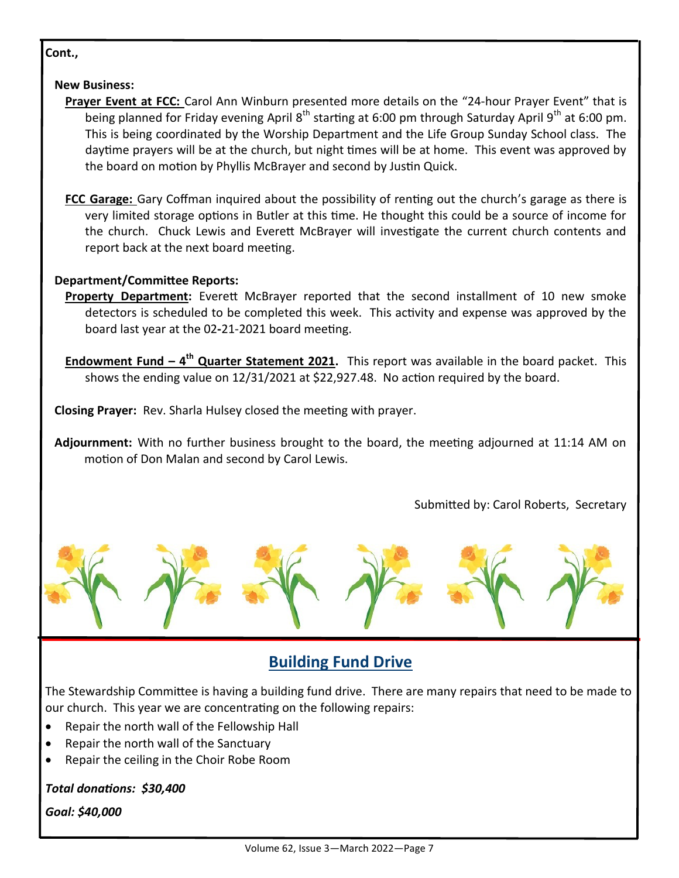#### **Cont.,**

#### **New Business:**

- **Prayer Event at FCC:** Carol Ann Winburn presented more details on the "24-hour Prayer Event" that is being planned for Friday evening April  $8<sup>th</sup>$  starting at 6:00 pm through Saturday April 9<sup>th</sup> at 6:00 pm. This is being coordinated by the Worship Department and the Life Group Sunday School class. The daytime prayers will be at the church, but night times will be at home. This event was approved by the board on motion by Phyllis McBrayer and second by Justin Quick.
- **FCC Garage:** Gary Coffman inquired about the possibility of renting out the church's garage as there is very limited storage options in Butler at this time. He thought this could be a source of income for the church. Chuck Lewis and Everett McBrayer will investigate the current church contents and report back at the next board meeting.

#### **Department/Committee Reports:**

- **Property Department:** Everett McBrayer reported that the second installment of 10 new smoke detectors is scheduled to be completed this week. This activity and expense was approved by the board last year at the 02**-**21-2021 board meeting.
- **Endowment Fund – 4th Quarter Statement 2021.** This report was available in the board packet. This shows the ending value on 12/31/2021 at \$22,927.48. No action required by the board.
- **Closing Prayer:** Rev. Sharla Hulsey closed the meeting with prayer.

**Adjournment:** With no further business brought to the board, the meeting adjourned at 11:14 AM on motion of Don Malan and second by Carol Lewis.

Submitted by: Carol Roberts, Secretary



# **Building Fund Drive**

The Stewardship Committee is having a building fund drive. There are many repairs that need to be made to our church. This year we are concentrating on the following repairs:

- Repair the north wall of the Fellowship Hall
- Repair the north wall of the Sanctuary
- Repair the ceiling in the Choir Robe Room

*Total donations: \$30,400*

*Goal: \$40,000*